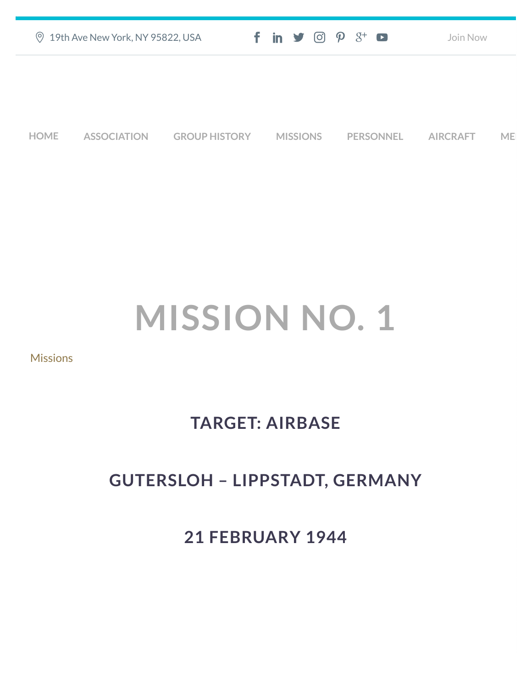|             | <b>9 19th Ave New York, NY 95822, USA</b> |                      |                 | $f$ in $\blacktriangleright$ $\odot$ $\varphi$ $3$ <sup>+</sup> $\blacksquare$ | Join Now        |    |
|-------------|-------------------------------------------|----------------------|-----------------|--------------------------------------------------------------------------------|-----------------|----|
|             |                                           |                      |                 |                                                                                |                 |    |
|             |                                           |                      |                 |                                                                                |                 |    |
| <b>HOME</b> | <b>ASSOCIATION</b>                        | <b>GROUP HISTORY</b> | <b>MISSIONS</b> | <b>PERSONNEL</b>                                                               | <b>AIRCRAFT</b> | ME |

## **MISSION NO. 1**

**[Missions](https://457thbombgroupassoc.org/category/missions/)** 

## **TARGET: AIRBASE**

## **GUTERSLOH – LIPPSTADT, GERMANY**

**21 FEBRUARY 1944**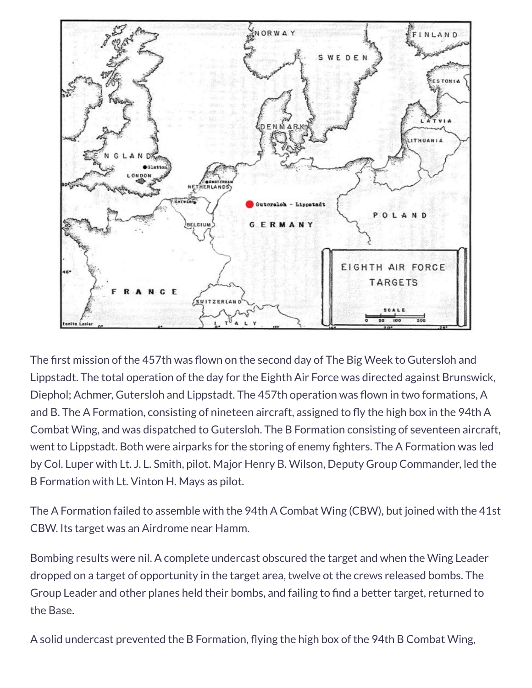

The first mission of the 457th was flown on the second day of The Big Week to Gutersloh and Lippstadt. The total operation of the day for the Eighth Air Force was directed against Brunswick, Diephol; Achmer, Gutersloh and Lippstadt. The 457th operation was flown in two formations, A and B. The A Formation, consisting of nineteen aircraft, assigned to fly the high box in the 94th A Combat Wing, and was dispatched to Gutersloh. The B Formation consisting of seventeen aircraft, went to Lippstadt. Both were airparks for the storing of enemy fighters. The A Formation was led by Col. Luper with Lt. J. L. Smith, pilot. Major Henry B. Wilson, Deputy Group Commander, led the B Formation with Lt. Vinton H. Mays as pilot.

The A Formation failed to assemble with the 94th A Combat Wing (CBW), but joined with the 41st CBW. Its target was an Airdrome near Hamm.

Bombing results were nil. A complete undercast obscured the target and when the Wing Leader dropped on a target of opportunity in the target area, twelve ot the crews released bombs. The Group Leader and other planes held their bombs, and failing to find a better target, returned to the Base.

A solid undercast prevented the B Formation, flying the high box of the 94th B Combat Wing,